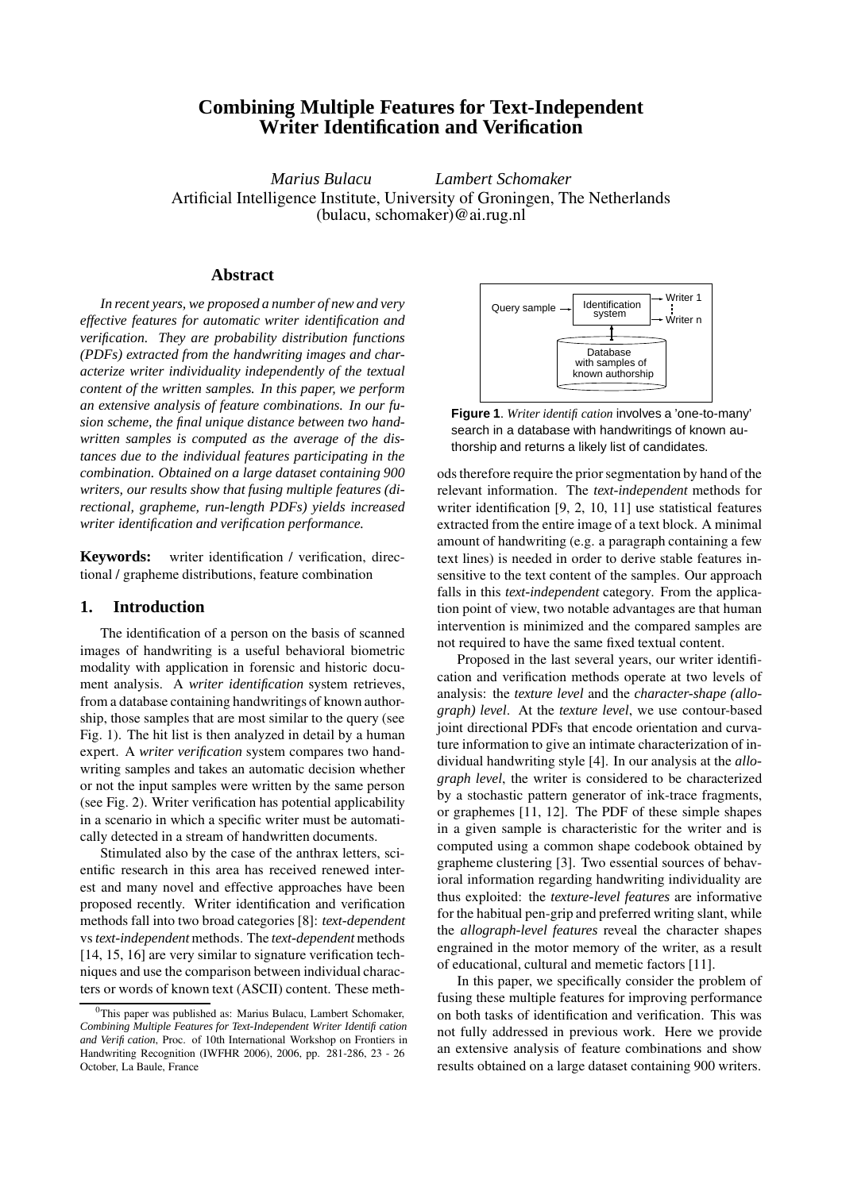# **Combining Multiple Features for Text-Independent Writer Identification and Verification**

*Marius Bulacu Lambert Schomaker* Artificial Intelligence Institute, University of Groningen, The Netherlands (bulacu, schomaker)@ai.rug.nl

#### **Abstract**

*In recent years, we proposed a number of new and very effective features for automatic writer identification and verification. They are probability distribution functions (PDFs) extracted from the handwriting images and characterize writer individuality independently of the textual content of the written samples. In this paper, we perform an extensive analysis of feature combinations. In our fusion scheme, the final unique distance between two handwritten samples is computed as the average of the distances due to the individual features participating in the combination. Obtained on a large dataset containing 900 writers, our results show that fusing multiple features (directional, grapheme, run-length PDFs) yields increased writer identification and verification performance.*

**Keywords:** writer identification / verification, directional / grapheme distributions, feature combination

#### **1. Introduction**

The identification of a person on the basis of scanned images of handwriting is a useful behavioral biometric modality with application in forensic and historic document analysis. A *writer identification* system retrieves, from a database containing handwritings of known authorship, those samples that are most similar to the query (see Fig. 1). The hit list is then analyzed in detail by a human expert. A *writer verification* system compares two handwriting samples and takes an automatic decision whether or not the input samples were written by the same person (see Fig. 2). Writer verification has potential applicability in a scenario in which a specific writer must be automatically detected in a stream of handwritten documents.

Stimulated also by the case of the anthrax letters, scientific research in this area has received renewed interest and many novel and effective approaches have been proposed recently. Writer identification and verification methods fall into two broad categories [8]: *text-dependent* vs *text-independent* methods. The *text-dependent* methods [14, 15, 16] are very similar to signature verification techniques and use the comparison between individual characters or words of known text (ASCII) content. These meth-



**Figure 1**. *Writer identification* involves a 'one-to-many' search in a database with handwritings of known authorship and returns a likely list of candidates.

ods therefore require the prior segmentation by hand of the relevant information. The *text-independent* methods for writer identification [9, 2, 10, 11] use statistical features extracted from the entire image of a text block. A minimal amount of handwriting (e.g. a paragraph containing a few text lines) is needed in order to derive stable features insensitive to the text content of the samples. Our approach falls in this *text-independent* category. From the application point of view, two notable advantages are that human intervention is minimized and the compared samples are not required to have the same fixed textual content.

Proposed in the last several years, our writer identification and verification methods operate at two levels of analysis: the *texture level* and the *character-shape (allograph) level*. At the *texture level*, we use contour-based joint directional PDFs that encode orientation and curvature information to give an intimate characterization of individual handwriting style [4]. In our analysis at the *allograph level*, the writer is considered to be characterized by a stochastic pattern generator of ink-trace fragments, or graphemes [11, 12]. The PDF of these simple shapes in a given sample is characteristic for the writer and is computed using a common shape codebook obtained by grapheme clustering [3]. Two essential sources of behavioral information regarding handwriting individuality are thus exploited: the *texture-level features* are informative for the habitual pen-grip and preferred writing slant, while the *allograph-level features* reveal the character shapes engrained in the motor memory of the writer, as a result of educational, cultural and memetic factors [11].

In this paper, we specifically consider the problem of fusing these multiple features for improving performance on both tasks of identification and verification. This was not fully addressed in previous work. Here we provide an extensive analysis of feature combinations and show results obtained on a large dataset containing 900 writers.

<sup>0</sup>This paper was published as: Marius Bulacu, Lambert Schomaker, *Combining Multiple Features for Text-Independent Writer Identification and Verification*, Proc. of 10th International Workshop on Frontiers in Handwriting Recognition (IWFHR 2006), 2006, pp. 281-286, 23 - 26 October, La Baule, France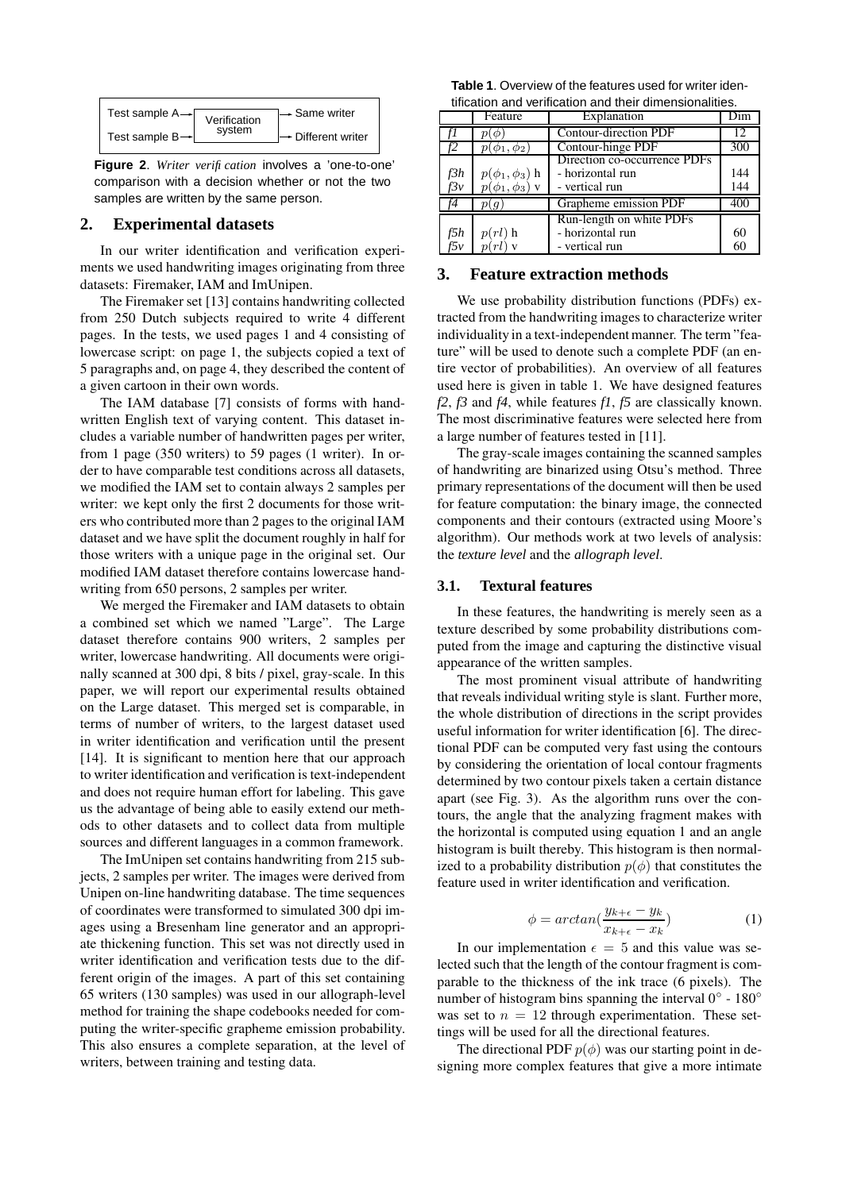

**Figure 2**. *Writer verification* involves a 'one-to-one' comparison with a decision whether or not the two samples are written by the same person.

## **2. Experimental datasets**

In our writer identification and verification experiments we used handwriting images originating from three datasets: Firemaker, IAM and ImUnipen.

The Firemaker set [13] contains handwriting collected from 250 Dutch subjects required to write 4 different pages. In the tests, we used pages 1 and 4 consisting of lowercase script: on page 1, the subjects copied a text of 5 paragraphs and, on page 4, they described the content of a given cartoon in their own words.

The IAM database [7] consists of forms with handwritten English text of varying content. This dataset includes a variable number of handwritten pages per writer, from 1 page (350 writers) to 59 pages (1 writer). In order to have comparable test conditions across all datasets, we modified the IAM set to contain always 2 samples per writer: we kept only the first 2 documents for those writers who contributed more than 2 pages to the original IAM dataset and we have split the document roughly in half for those writers with a unique page in the original set. Our modified IAM dataset therefore contains lowercase handwriting from 650 persons, 2 samples per writer.

We merged the Firemaker and IAM datasets to obtain a combined set which we named "Large". The Large dataset therefore contains 900 writers, 2 samples per writer, lowercase handwriting. All documents were originally scanned at 300 dpi, 8 bits / pixel, gray-scale. In this paper, we will report our experimental results obtained on the Large dataset. This merged set is comparable, in terms of number of writers, to the largest dataset used in writer identification and verification until the present [14]. It is significant to mention here that our approach to writer identification and verification is text-independent and does not require human effort for labeling. This gave us the advantage of being able to easily extend our methods to other datasets and to collect data from multiple sources and different languages in a common framework.

The ImUnipen set contains handwriting from 215 subjects, 2 samples per writer. The images were derived from Unipen on-line handwriting database. The time sequences of coordinates were transformed to simulated 300 dpi images using a Bresenham line generator and an appropriate thickening function. This set was not directly used in writer identification and verification tests due to the different origin of the images. A part of this set containing 65 writers (130 samples) was used in our allograph-level method for training the shape codebooks needed for computing the writer-specific grapheme emission probability. This also ensures a complete separation, at the level of writers, between training and testing data.

**Table 1**. Overview of the features used for writer identification and verification and their dimensionalities.

|                   | Feature               | Explanation                  | Dim |
|-------------------|-----------------------|------------------------------|-----|
|                   |                       | Contour-direction PDF        | 12  |
| $-f2$             | $p(\phi_1,\phi_2)$    | Contour-hinge PDF            | 300 |
|                   |                       | Direction co-occurrence PDFs |     |
| f3h               | $p(\phi_1, \phi_3)$ h | - horizontal run             | 144 |
| f3v               | $p(\phi_1, \phi_3)$ v | - vertical run               | 144 |
| - f4              | p(q)                  | Grapheme emission PDF        | 400 |
|                   |                       | Run-length on white PDFs     |     |
| $\frac{f5h}{f5v}$ | $p(rl)$ h             | - horizontal run             | 60  |
|                   | p(r)                  | - vertical run               | 60  |

# **3. Feature extraction methods**

We use probability distribution functions (PDFs) extracted from the handwriting images to characterize writer individuality in a text-independent manner. The term "feature" will be used to denote such a complete PDF (an entire vector of probabilities). An overview of all features used here is given in table 1. We have designed features *f2*, *f3* and *f4*, while features *f1*, *f5* are classically known. The most discriminative features were selected here from a large number of features tested in [11].

The gray-scale images containing the scanned samples of handwriting are binarized using Otsu's method. Three primary representations of the document will then be used for feature computation: the binary image, the connected components and their contours (extracted using Moore's algorithm). Our methods work at two levels of analysis: the *texture level* and the *allograph level*.

#### **3.1. Textural features**

In these features, the handwriting is merely seen as a texture described by some probability distributions computed from the image and capturing the distinctive visual appearance of the written samples.

The most prominent visual attribute of handwriting that reveals individual writing style is slant. Further more, the whole distribution of directions in the script provides useful information for writer identification [6]. The directional PDF can be computed very fast using the contours by considering the orientation of local contour fragments determined by two contour pixels taken a certain distance apart (see Fig. 3). As the algorithm runs over the contours, the angle that the analyzing fragment makes with the horizontal is computed using equation 1 and an angle histogram is built thereby. This histogram is then normalized to a probability distribution  $p(\phi)$  that constitutes the feature used in writer identification and verification.

$$
\phi = \arctan(\frac{y_{k+\epsilon} - y_k}{x_{k+\epsilon} - x_k})\tag{1}
$$

In our implementation  $\epsilon = 5$  and this value was selected such that the length of the contour fragment is comparable to the thickness of the ink trace (6 pixels). The number of histogram bins spanning the interval  $0^{\circ}$  - 180 $^{\circ}$ was set to  $n = 12$  through experimentation. These settings will be used for all the directional features.

The directional PDF  $p(\phi)$  was our starting point in designing more complex features that give a more intimate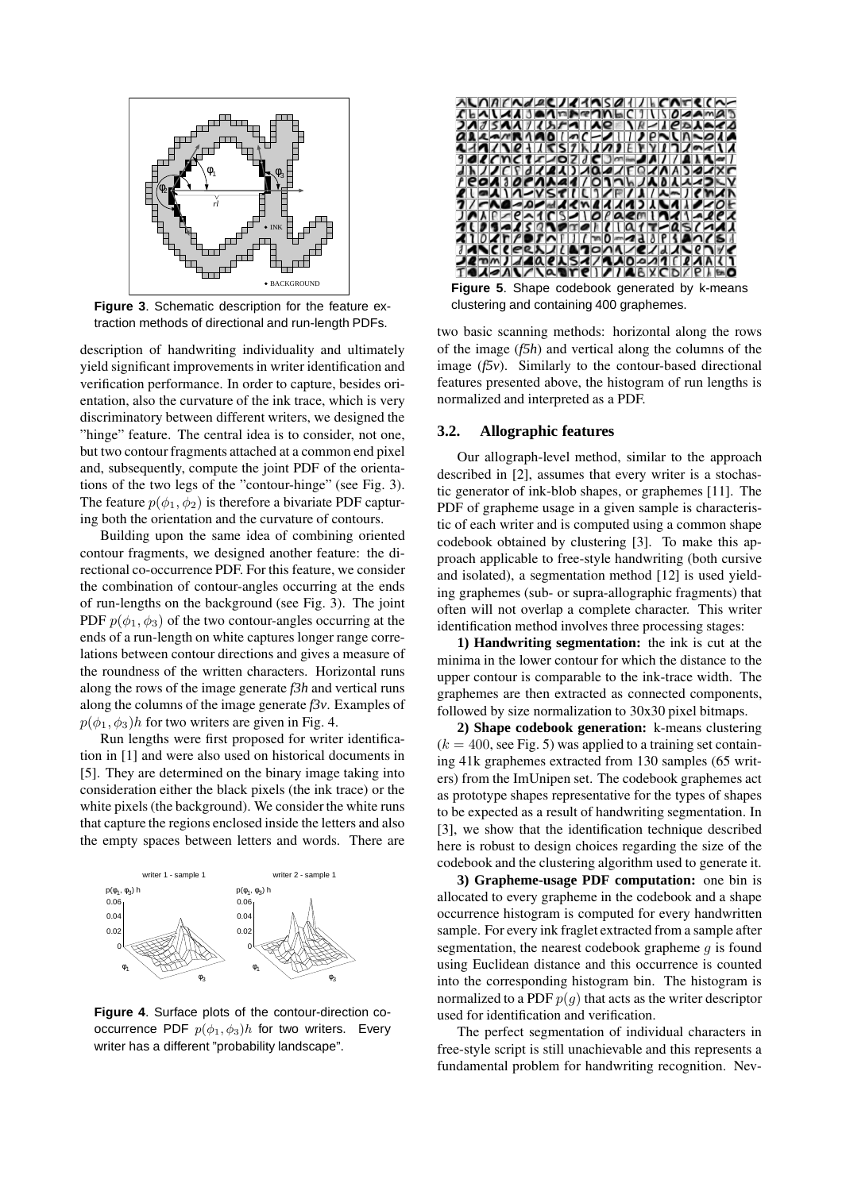

**Figure 3**. Schematic description for the feature extraction methods of directional and run-length PDFs.

description of handwriting individuality and ultimately yield significant improvementsin writer identification and verification performance. In order to capture, besides orientation, also the curvature of the ink trace, which is very discriminatory between different writers, we designed the "hinge" feature. The central idea is to consider, not one, but two contour fragments attached at a common end pixel and, subsequently, compute the joint PDF of the orientations of the two legs of the "contour-hinge" (see Fig. 3). The feature  $p(\phi_1, \phi_2)$  is therefore a bivariate PDF capturing both the orientation and the curvature of contours.

Building upon the same idea of combining oriented contour fragments, we designed another feature: the directional co-occurrence PDF. For this feature, we consider the combination of contour-angles occurring at the ends of run-lengths on the background (see Fig. 3). The joint PDF  $p(\phi_1, \phi_3)$  of the two contour-angles occurring at the ends of a run-length on white captures longer range correlations between contour directions and gives a measure of the roundness of the written characters. Horizontal runs along the rows of the image generate *f3h* and vertical runs along the columns of the image generate *f3v*. Examples of  $p(\phi_1, \phi_3)$ h for two writers are given in Fig. 4.

Run lengths were first proposed for writer identification in [1] and were also used on historical documents in [5]. They are determined on the binary image taking into consideration either the black pixels (the ink trace) or the white pixels (the background). We consider the white runs that capture the regions enclosed inside the letters and also the empty spaces between letters and words. There are



**Figure 4**. Surface plots of the contour-direction cooccurrence PDF  $p(\phi_1, \phi_3)h$  for two writers. Every writer has a different "probability landscape".



**Figure 5**. Shape codebook generated by k-means clustering and containing 400 graphemes.

two basic scanning methods: horizontal along the rows of the image (*f5h*) and vertical along the columns of the image (*f5v*). Similarly to the contour-based directional features presented above, the histogram of run lengths is normalized and interpreted as a PDF.

#### **3.2. Allographic features**

Our allograph-level method, similar to the approach described in [2], assumes that every writer is a stochastic generator of ink-blob shapes, or graphemes [11]. The PDF of grapheme usage in a given sample is characteristic of each writer and is computed using a common shape codebook obtained by clustering [3]. To make this approach applicable to free-style handwriting (both cursive and isolated), a segmentation method [12] is used yielding graphemes (sub- or supra-allographic fragments) that often will not overlap a complete character. This writer identification method involves three processing stages:

**1) Handwriting segmentation:** the ink is cut at the minima in the lower contour for which the distance to the upper contour is comparable to the ink-trace width. The graphemes are then extracted as connected components, followed by size normalization to 30x30 pixel bitmaps.

**2) Shape codebook generation:** k-means clustering  $(k = 400, \text{ see Fig. 5})$  was applied to a training set containing 41k graphemes extracted from 130 samples (65 writers) from the ImUnipen set. The codebook graphemes act as prototype shapes representative for the types of shapes to be expected as a result of handwriting segmentation. In [3], we show that the identification technique described here is robust to design choices regarding the size of the codebook and the clustering algorithm used to generate it.

**3) Grapheme-usage PDF computation:** one bin is allocated to every grapheme in the codebook and a shape occurrence histogram is computed for every handwritten sample. For every ink fraglet extracted from a sample after segmentation, the nearest codebook grapheme  $q$  is found using Euclidean distance and this occurrence is counted into the corresponding histogram bin. The histogram is normalized to a PDF  $p(g)$  that acts as the writer descriptor used for identification and verification.

The perfect segmentation of individual characters in free-style script is still unachievable and this represents a fundamental problem for handwriting recognition. Nev-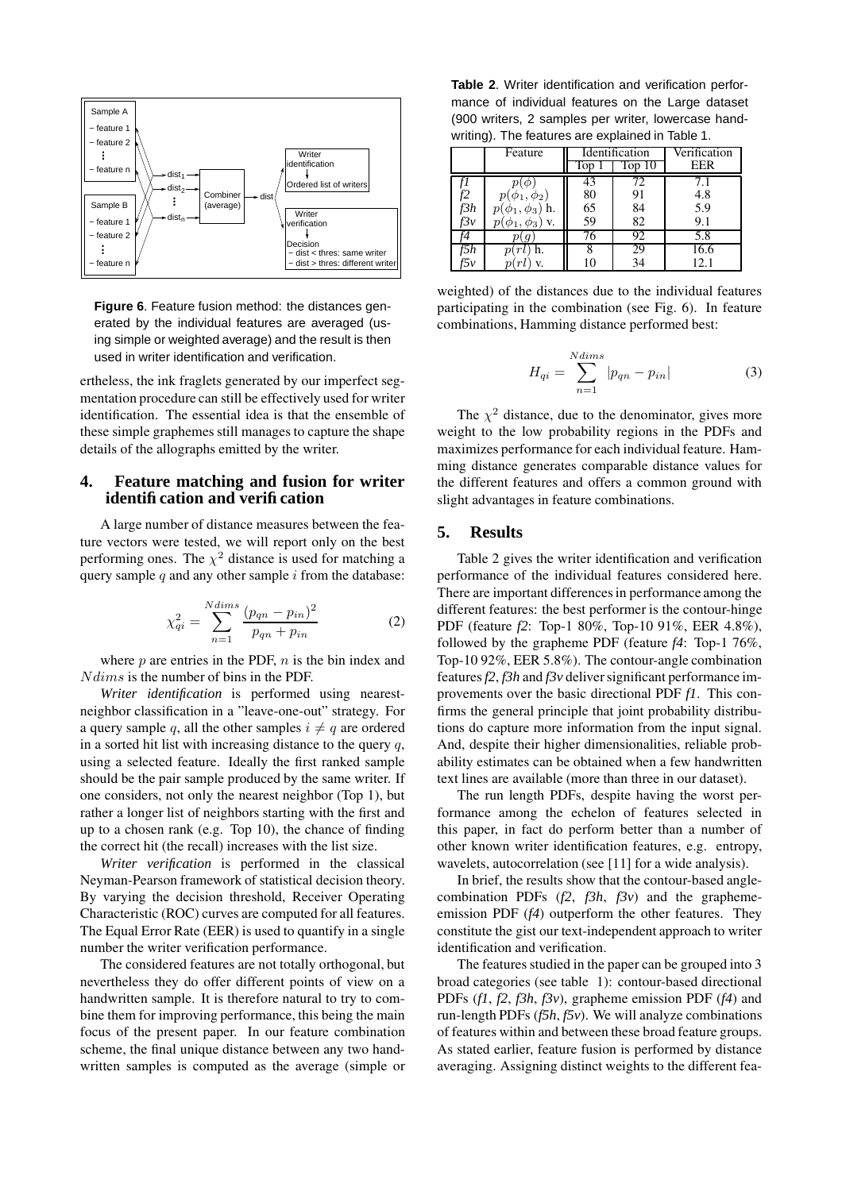

**Figure 6**. Feature fusion method: the distances generated by the individual features are averaged (using simple or weighted average) and the result is then used in writer identification and verification.

ertheless, the ink fraglets generated by our imperfect segmentation procedure can still be effectively used for writer identification. The essential idea is that the ensemble of these simple graphemes still manages to capture the shape details of the allographs emitted by the writer.

# **4. Feature matching and fusion for writer identification and verification**

A large number of distance measures between the feature vectors were tested, we will report only on the best performing ones. The  $\chi^2$  distance is used for matching a query sample  $q$  and any other sample  $i$  from the database:

$$
\chi_{qi}^2 = \sum_{n=1}^{N \, \text{dims}} \frac{(p_{qn} - p_{in})^2}{p_{qn} + p_{in}} \tag{2}
$$

where  $p$  are entries in the PDF,  $n$  is the bin index and Ndims is the number of bins in the PDF.

*Writer identification* is performed using nearestneighbor classification in a "leave-one-out" strategy. For a query sample q, all the other samples  $i \neq q$  are ordered in a sorted hit list with increasing distance to the query  $q$ , using a selected feature. Ideally the first ranked sample should be the pair sample produced by the same writer. If one considers, not only the nearest neighbor (Top 1), but rather a longer list of neighbors starting with the first and up to a chosen rank (e.g. Top 10), the chance of finding the correct hit (the recall) increases with the list size.

*Writer verification* is performed in the classical Neyman-Pearson framework of statistical decision theory. By varying the decision threshold, Receiver Operating Characteristic (ROC) curves are computed for all features. The Equal Error Rate (EER) is used to quantify in a single number the writer verification performance.

The considered features are not totally orthogonal, but nevertheless they do offer different points of view on a handwritten sample. It is therefore natural to try to combine them for improving performance, this being the main focus of the present paper. In our feature combination scheme, the final unique distance between any two handwritten samples is computed as the average (simple or

**Table 2**. Writer identification and verification performance of individual features on the Large dataset (900 writers, 2 samples per writer, lowercase handwriting). The features are explained in Table 1.

|     | Feature          | Identification<br>Fop |                      | Verification<br>EER        |
|-----|------------------|-----------------------|----------------------|----------------------------|
| f3h | <b>Φ</b> 2<br>h. | 43<br>80<br>65        | 72<br>91<br>84       | 7.1<br>4.8<br>5.9          |
|     | v.               | 59<br>10              | 82<br>92<br>29<br>34 | 9.1<br>5.8<br>16.6<br>12.1 |

weighted) of the distances due to the individual features participating in the combination (see Fig. 6). In feature combinations, Hamming distance performed best:

$$
H_{qi} = \sum_{n=1}^{N \, dims} |p_{qn} - p_{in}| \tag{3}
$$

The  $\chi^2$  distance, due to the denominator, gives more weight to the low probability regions in the PDFs and maximizes performance for each individual feature. Hamming distance generates comparable distance values for the different features and offers a common ground with slight advantages in feature combinations.

# **5. Results**

Table 2 gives the writer identification and verification performance of the individual features considered here. There are important differences in performance among the different features: the best performer is the contour-hinge PDF (feature *f2*: Top-1 80%, Top-10 91%, EER 4.8%), followed by the grapheme PDF (feature *f4*: Top-1 76%, Top-10 92%, EER 5.8%). The contour-angle combination features  $f2$ ,  $f3h$  and  $f3v$  deliver significant performance improvements over the basic directional PDF *f1*. This confirms the general principle that joint probability distributions do capture more information from the input signal. And, despite their higher dimensionalities, reliable probability estimates can be obtained when a few handwritten text lines are available (more than three in our dataset).

The run length PDFs, despite having the worst performance among the echelon of features selected in this paper, in fact do perform better than a number of other known writer identification features, e.g. entropy, wavelets, autocorrelation (see [11] for a wide analysis).

In brief, the results show that the contour-based anglecombination PDFs (*f2*, *f3h*, *f3v*) and the graphemeemission PDF (*f4*) outperform the other features. They constitute the gist our text-independent approach to writer identification and verification.

The features studied in the paper can be grouped into 3 broad categories (see table 1): contour-based directional PDFs (*f1*, *f2*, *f3h*, *f3v*), grapheme emission PDF (*f4*) and run-length PDFs (*f5h*, *f5v*). We will analyze combinations of features within and between these broad feature groups. As stated earlier, feature fusion is performed by distance averaging. Assigning distinct weights to the different fea-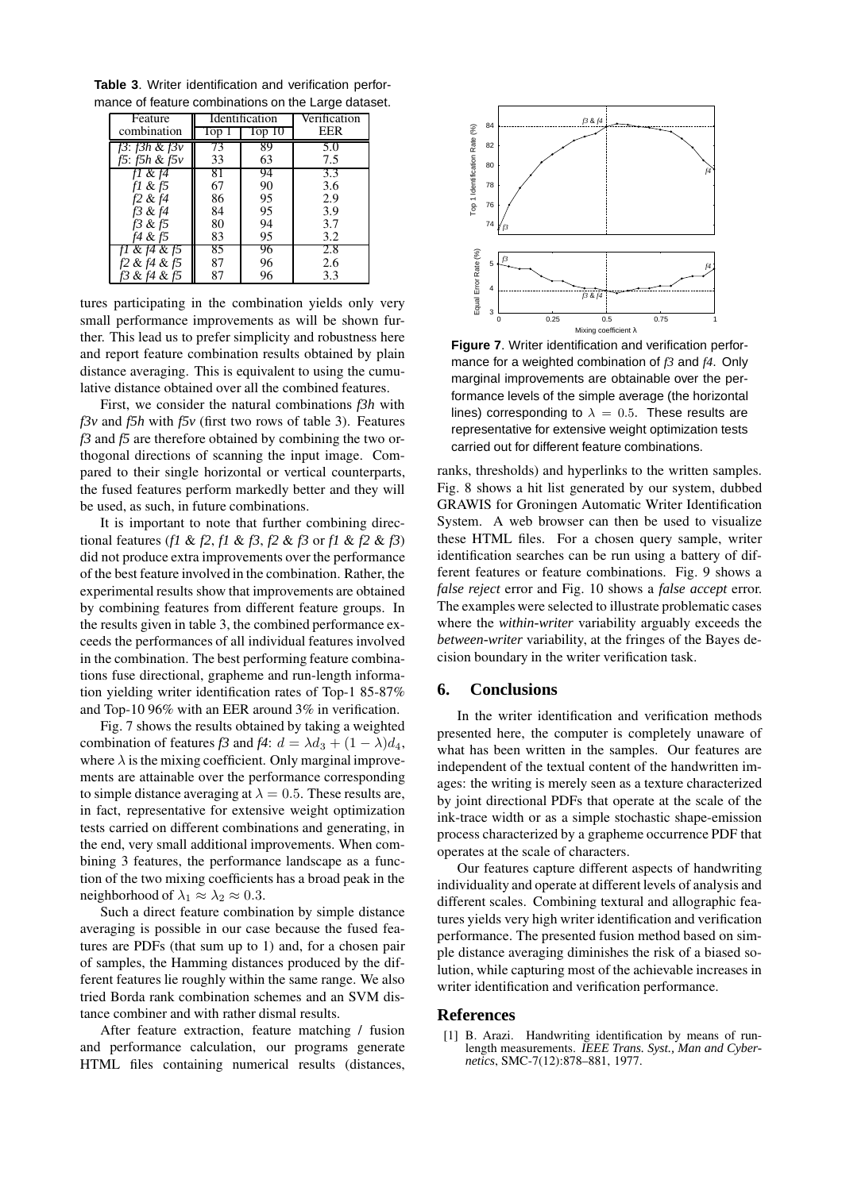**Table 3**. Writer identification and verification performance of feature combinations on the Large dataset.

| Feature          | Identification |        | Verification |
|------------------|----------------|--------|--------------|
| combination      |                | 1op 10 | EER          |
| f3: f3h & f3v    | 73             | 89     | 5.0          |
| $f5: f5h \& f5v$ | 33             | 63     | 7.5          |
| f1 & f4          | 81             | 94     | 3.3          |
| fl & $f5$        | 67             | 90     | 3.6          |
| f2 & f4          | 86             | 95     | 2.9          |
| f3 & f4          | 84             | 95     | 3.9          |
| f3 & f5          | 80             | 94     | 3.7          |
| f4 & f5          | 83             | 95     | 3.2          |
| f1 & f4 & f5     | 85             | 96     | 2.8          |
| f2 & f4 & f5     | 87             | 96     | 2.6          |
| f3 & f4 & f5     | 87             | 96     | 3.3          |

tures participating in the combination yields only very small performance improvements as will be shown further. This lead us to prefer simplicity and robustness here and report feature combination results obtained by plain distance averaging. This is equivalent to using the cumulative distance obtained over all the combined features.

First, we consider the natural combinations *f3h* with *f3v* and *f5h* with *f5v* (first two rows of table 3). Features *f3* and *f5* are therefore obtained by combining the two orthogonal directions of scanning the input image. Compared to their single horizontal or vertical counterparts, the fused features perform markedly better and they will be used, as such, in future combinations.

It is important to note that further combining directional features (*f1* & *f2*, *f1* & *f3*, *f2* & *f3* or *f1* & *f2* & *f3*) did not produce extra improvements over the performance of the best feature involved in the combination. Rather, the experimental results show that improvements are obtained by combining features from different feature groups. In the results given in table 3, the combined performance exceeds the performances of all individual features involved in the combination. The best performing feature combinations fuse directional, grapheme and run-length information yielding writer identification rates of Top-1 85-87% and Top-10 96% with an EER around 3% in verification.

Fig. 7 shows the results obtained by taking a weighted combination of features *f3* and *f4*:  $d = \lambda d_3 + (1 - \lambda)d_4$ , where  $\lambda$  is the mixing coefficient. Only marginal improvements are attainable over the performance corresponding to simple distance averaging at  $\lambda = 0.5$ . These results are, in fact, representative for extensive weight optimization tests carried on different combinations and generating, in the end, very small additional improvements. When combining 3 features, the performance landscape as a function of the two mixing coefficients has a broad peak in the neighborhood of  $\lambda_1 \approx \lambda_2 \approx 0.3$ .

Such a direct feature combination by simple distance averaging is possible in our case because the fused features are PDFs (that sum up to 1) and, for a chosen pair of samples, the Hamming distances produced by the different features lie roughly within the same range. We also tried Borda rank combination schemes and an SVM distance combiner and with rather dismal results.

After feature extraction, feature matching / fusion and performance calculation, our programs generate HTML files containing numerical results (distances,



**Figure 7**. Writer identification and verification performance for a weighted combination of *f3* and *f4*. Only marginal improvements are obtainable over the performance levels of the simple average (the horizontal lines) corresponding to  $\lambda = 0.5$ . These results are representative for extensive weight optimization tests carried out for different feature combinations.

ranks, thresholds) and hyperlinks to the written samples. Fig. 8 shows a hit list generated by our system, dubbed GRAWIS for Groningen Automatic Writer Identification System. A web browser can then be used to visualize these HTML files. For a chosen query sample, writer identification searches can be run using a battery of different features or feature combinations. Fig. 9 shows a *false reject* error and Fig. 10 shows a *false accept* error. The examples were selected to illustrate problematic cases where the *within-writer* variability arguably exceeds the *between-writer* variability, at the fringes of the Bayes decision boundary in the writer verification task.

### **6. Conclusions**

In the writer identification and verification methods presented here, the computer is completely unaware of what has been written in the samples. Our features are independent of the textual content of the handwritten images: the writing is merely seen as a texture characterized by joint directional PDFs that operate at the scale of the ink-trace width or as a simple stochastic shape-emission process characterized by a grapheme occurrence PDF that operates at the scale of characters.

Our features capture different aspects of handwriting individuality and operate at different levels of analysis and different scales. Combining textural and allographic features yields very high writer identification and verification performance. The presented fusion method based on simple distance averaging diminishes the risk of a biased solution, while capturing most of the achievable increases in writer identification and verification performance.

## **References**

[1] B. Arazi. Handwriting identification by means of runlength measurements. *IEEE Trans. Syst., Man and Cybernetics*, SMC-7(12):878–881, 1977.